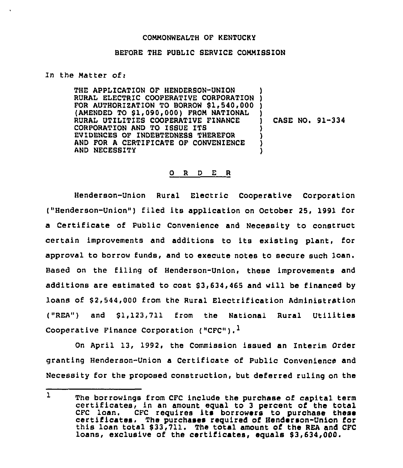## COMMONWEALTH OF KENTUCKY

## BEFORE THE PUBLIC SERVICE COMMISSION

In the Matter of $<sub>1</sub>$ </sub>

THE APPLICATION OF HENDERBON-UNION THE APPLICATION OF HENDERSON-ONION<br>RURAL ELECTRIC COOPERATIVE CORPORATION ) FOR AUTHORIZATION TO BORROW \$1,540,000 ) (AMENDED TO \$1,090,000) FROM NATIONAL RURAL UTILITIES COOPERATIVE FINANCE CORPORATION AND TO ISSUE ITS EVIDENCES OF INDEBTEDNESS THEREFOR AND FOR A CERTIFICATE OF CONVENIENCE AND NECESBITY ) ) CASE NO. 91-334 ) ) ) )

## 0 <sup>R</sup> <sup>D</sup> E <sup>R</sup>

Henderson-Onion Rural Electric Cooperative Corporation ("Henderson-Union") filed its application on October 25, 1991 for a Certificate of Public Convenience and Necessity to construct certain improvements and additions to its existing plant, for approval to borrow funds, and to execute notes to secure such loan. Based on the filing of Henderson-Union, these improvements and additions are estimated to cost \$ 3,634,465 and will be financed by loans of \$2,544,000 from the Rural Electrification Administration  $('REA'')$  and  $$1.123.711$  from the National Rural Utilities Cooperative Finance Corporation ("CFC").<sup>1</sup>

On April 13, 1992, the Commission issued an Interim Order granting Henderson-Union a Certificate of Public Convenience and Necessity for the proposed construction, but deferred ruling on the

 $\mathbf{1}$ The borrowings from CFC include the purchase of capital term<br>certificates, in an amount equal to 3 percent of the total<br>CFC loan. CFC requires its borrowers to purchase these certificates. The purchases required of Henderson-Union for<br>this loan total \$ 33,711. The total amount of the REA and CFC loans, exclusive of the certificates, equals \$3,634,000.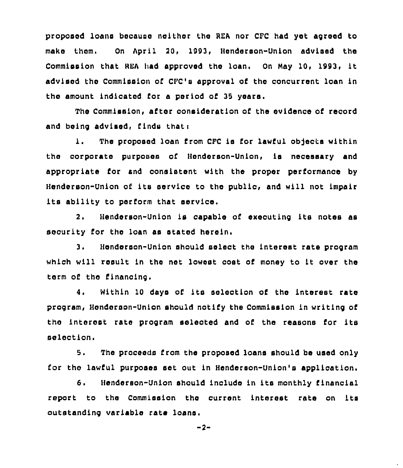proposed loans because neither the BEA nor CFC had yet agreed to make them, On April 20, 1993, Henderson-Union advised the Commission that REA had approved the loan. On May 10, 1993, it advised the Commission of CFC'a approval of the conourrent loan in the amount indicated for a period of 35 years.

The Commission, after consideration of the evidence of record and being advised, finds thati

1. The proposed loan from CFC is for lawful ob]ects within the corporate purposes of Henderson-Union, is necessary and appropriate for and consistent with the proper performance by Henderson-Union of ita service to the public, and will not impair its ability to perform that service.

2. Henderson-Union is capable of executing its notes as security for the loan as stated herein.

3. Henderson-Union should select the interest rate program which will result in the net lowest cost of money to it over the term of the financing.

4. Within <sup>10</sup> days of its selection of the interest rate program, Henderson-Union should notify the Commission in writing of the interest rate program selected and of the reasons for its selection.

5. The proceeds from the proposed loans should be used only for the lawful purposes set out in Henderson-Union's application.

6. Henderson-Union should include in its monthly financial report to the Commission the current interest rate on its outstanding variable rate loans

 $-2-$